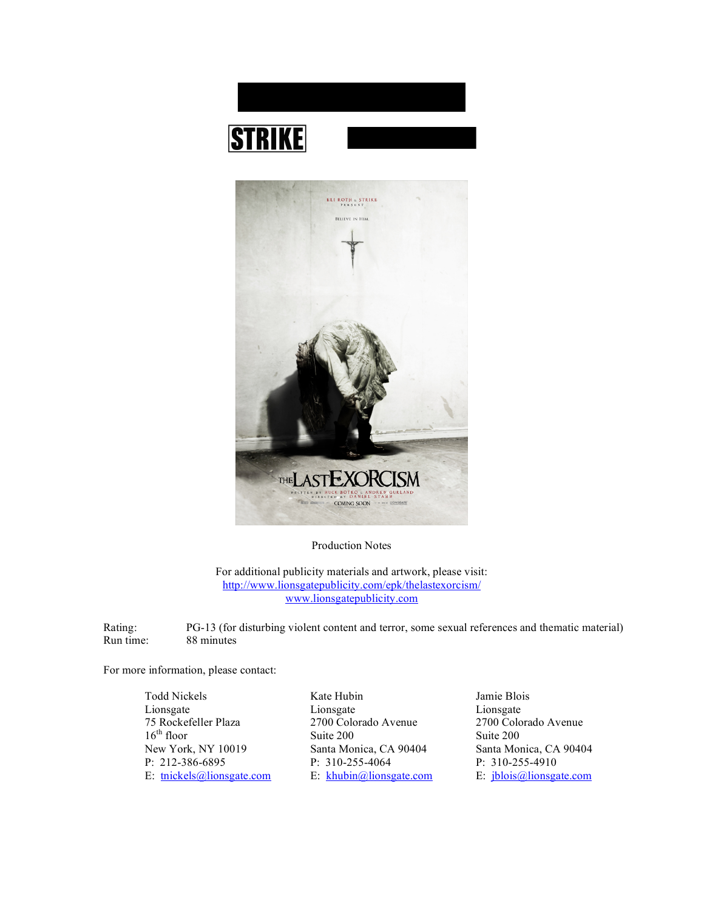



Production Notes

For additional publicity materials and artwork, please visit: http://www.lionsgatepublicity.com/epk/thelastexorcism/ www.lionsgatepublicity.com

Rating: PG-13 (for disturbing violent content and terror, some sexual references and thematic material) Run time: 88 minutes

For more information, please contact:

Todd Nickels Kate Hubin Jamie Blois Lionsgate Lionsgate Lionsgate Lionsgate Lionsgate Lionsgate Lionsgate Lionsgate 2700 Colorado Avenue 2700 Colorado Avenue 16<sup>th</sup> floor Suite 200 Suite 200 Suite 200 New York, NY 10019 Santa Monica, CA 90404 Santa Monica, CA 90404 P: 212-386-6895 P: 310-255-4064 P: 310-255-4910

E: tnickels@lionsgate.com E: khubin@lionsgate.com E: jblois@lionsgate.com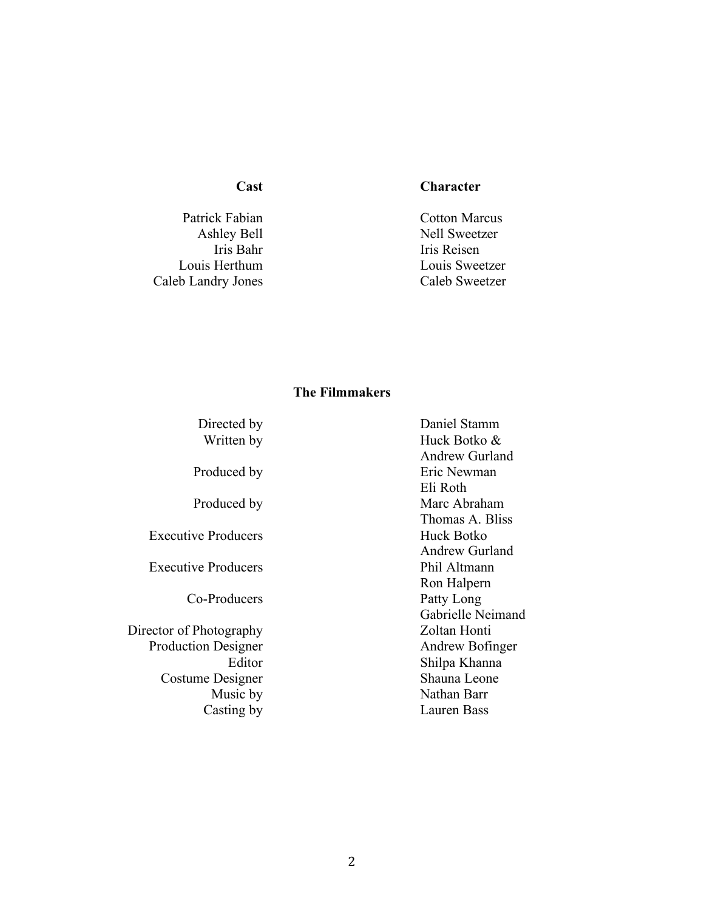Patrick Fabian Cotton Marcus<br>Ashley Bell Sweetzer Caleb Landry Jones Caleb Sweetzer

# **Cast Character**

Ashley Bell<br>
Iris Bahr<br>
Iris Reisen<br>
Iris Reisen Iris Reisen Louis Herthum Louis Sweetzer

# **The Filmmakers**

| Directed by                | Daniel Stamm          |
|----------------------------|-----------------------|
| Written by                 | Huck Botko &          |
|                            | <b>Andrew Gurland</b> |
| Produced by                | Eric Newman           |
|                            | Eli Roth              |
| Produced by                | Marc Abraham          |
|                            | Thomas A. Bliss       |
| <b>Executive Producers</b> | Huck Botko            |
|                            | <b>Andrew Gurland</b> |
| <b>Executive Producers</b> | Phil Altmann          |
|                            | Ron Halpern           |
| Co-Producers               | Patty Long            |
|                            | Gabrielle Neimand     |
| Director of Photography    | Zoltan Honti          |
| <b>Production Designer</b> | Andrew Bofinger       |
| Editor                     | Shilpa Khanna         |
| Costume Designer           | Shauna Leone          |
| Music by                   | Nathan Barr           |
| Casting by                 | Lauren Bass           |
|                            |                       |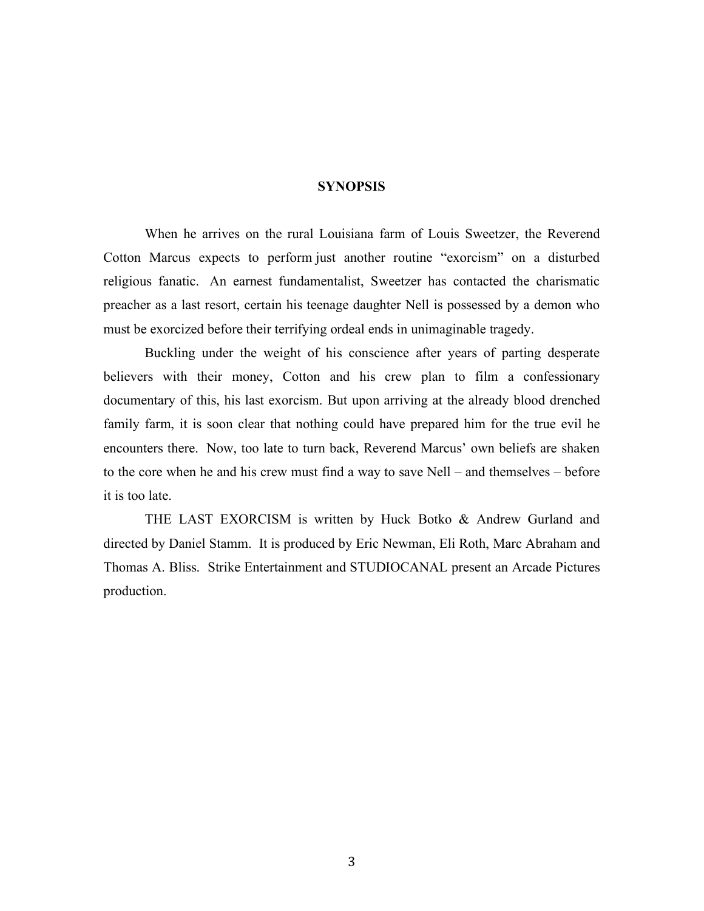## **SYNOPSIS**

When he arrives on the rural Louisiana farm of Louis Sweetzer, the Reverend Cotton Marcus expects to perform just another routine "exorcism" on a disturbed religious fanatic. An earnest fundamentalist, Sweetzer has contacted the charismatic preacher as a last resort, certain his teenage daughter Nell is possessed by a demon who must be exorcized before their terrifying ordeal ends in unimaginable tragedy.

Buckling under the weight of his conscience after years of parting desperate believers with their money, Cotton and his crew plan to film a confessionary documentary of this, his last exorcism. But upon arriving at the already blood drenched family farm, it is soon clear that nothing could have prepared him for the true evil he encounters there. Now, too late to turn back, Reverend Marcus' own beliefs are shaken to the core when he and his crew must find a way to save Nell – and themselves – before it is too late.

THE LAST EXORCISM is written by Huck Botko & Andrew Gurland and directed by Daniel Stamm. It is produced by Eric Newman, Eli Roth, Marc Abraham and Thomas A. Bliss. Strike Entertainment and STUDIOCANAL present an Arcade Pictures production.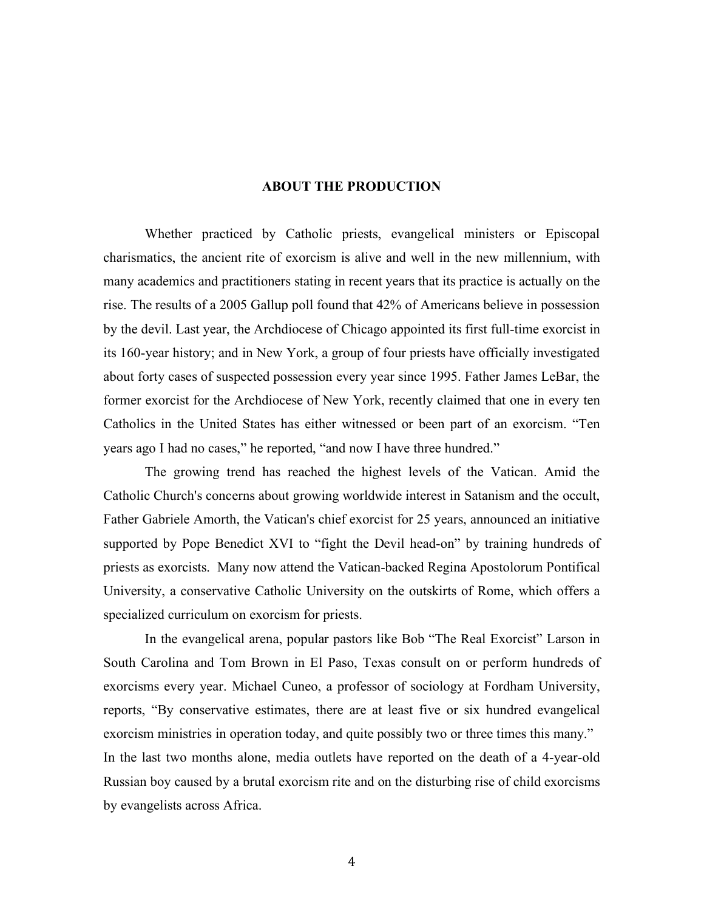## **ABOUT THE PRODUCTION**

Whether practiced by Catholic priests, evangelical ministers or Episcopal charismatics, the ancient rite of exorcism is alive and well in the new millennium, with many academics and practitioners stating in recent years that its practice is actually on the rise. The results of a 2005 Gallup poll found that 42% of Americans believe in possession by the devil. Last year, the Archdiocese of Chicago appointed its first full-time exorcist in its 160-year history; and in New York, a group of four priests have officially investigated about forty cases of suspected possession every year since 1995. Father James LeBar, the former exorcist for the Archdiocese of New York, recently claimed that one in every ten Catholics in the United States has either witnessed or been part of an exorcism. "Ten years ago I had no cases," he reported, "and now I have three hundred."

The growing trend has reached the highest levels of the Vatican. Amid the Catholic Church's concerns about growing worldwide interest in Satanism and the occult, Father Gabriele Amorth, the Vatican's chief exorcist for 25 years, announced an initiative supported by Pope Benedict XVI to "fight the Devil head-on" by training hundreds of priests as exorcists. Many now attend the Vatican-backed Regina Apostolorum Pontifical University, a conservative Catholic University on the outskirts of Rome, which offers a specialized curriculum on exorcism for priests.

In the evangelical arena, popular pastors like Bob "The Real Exorcist" Larson in South Carolina and Tom Brown in El Paso, Texas consult on or perform hundreds of exorcisms every year. Michael Cuneo, a professor of sociology at Fordham University, reports, "By conservative estimates, there are at least five or six hundred evangelical exorcism ministries in operation today, and quite possibly two or three times this many." In the last two months alone, media outlets have reported on the death of a 4-year-old Russian boy caused by a brutal exorcism rite and on the disturbing rise of child exorcisms by evangelists across Africa.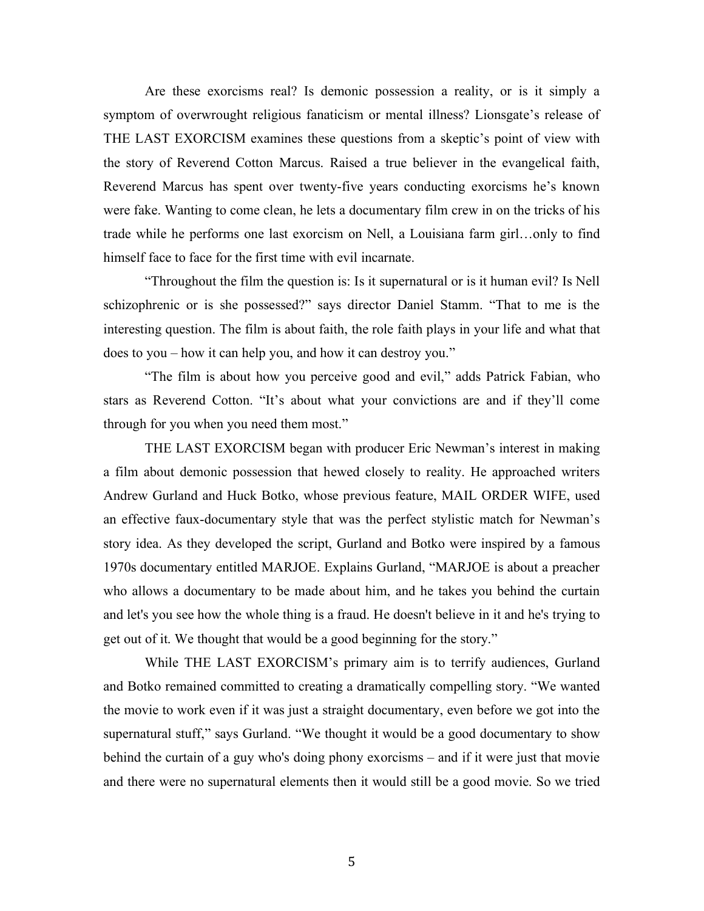Are these exorcisms real? Is demonic possession a reality, or is it simply a symptom of overwrought religious fanaticism or mental illness? Lionsgate's release of THE LAST EXORCISM examines these questions from a skeptic's point of view with the story of Reverend Cotton Marcus. Raised a true believer in the evangelical faith, Reverend Marcus has spent over twenty-five years conducting exorcisms he's known were fake. Wanting to come clean, he lets a documentary film crew in on the tricks of his trade while he performs one last exorcism on Nell, a Louisiana farm girl…only to find himself face to face for the first time with evil incarnate.

"Throughout the film the question is: Is it supernatural or is it human evil? Is Nell schizophrenic or is she possessed?" says director Daniel Stamm. "That to me is the interesting question. The film is about faith, the role faith plays in your life and what that does to you – how it can help you, and how it can destroy you."

"The film is about how you perceive good and evil," adds Patrick Fabian, who stars as Reverend Cotton. "It's about what your convictions are and if they'll come through for you when you need them most."

THE LAST EXORCISM began with producer Eric Newman's interest in making a film about demonic possession that hewed closely to reality. He approached writers Andrew Gurland and Huck Botko, whose previous feature, MAIL ORDER WIFE, used an effective faux-documentary style that was the perfect stylistic match for Newman's story idea. As they developed the script, Gurland and Botko were inspired by a famous 1970s documentary entitled MARJOE. Explains Gurland, "MARJOE is about a preacher who allows a documentary to be made about him, and he takes you behind the curtain and let's you see how the whole thing is a fraud. He doesn't believe in it and he's trying to get out of it. We thought that would be a good beginning for the story."

While THE LAST EXORCISM's primary aim is to terrify audiences, Gurland and Botko remained committed to creating a dramatically compelling story. "We wanted the movie to work even if it was just a straight documentary, even before we got into the supernatural stuff," says Gurland. "We thought it would be a good documentary to show behind the curtain of a guy who's doing phony exorcisms – and if it were just that movie and there were no supernatural elements then it would still be a good movie. So we tried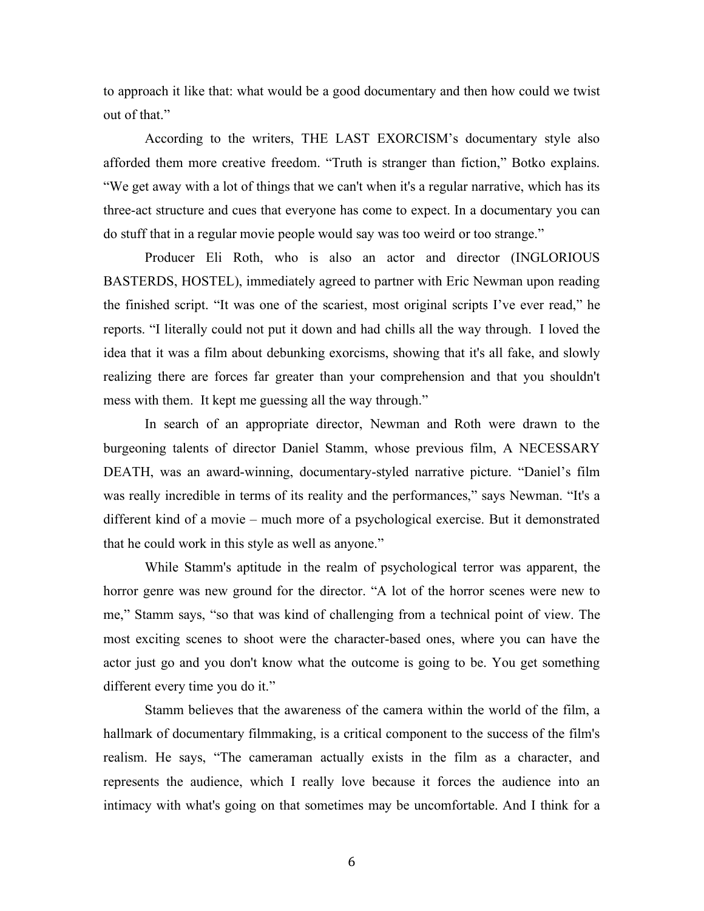to approach it like that: what would be a good documentary and then how could we twist out of that."

According to the writers, THE LAST EXORCISM's documentary style also afforded them more creative freedom. "Truth is stranger than fiction," Botko explains. "We get away with a lot of things that we can't when it's a regular narrative, which has its three-act structure and cues that everyone has come to expect. In a documentary you can do stuff that in a regular movie people would say was too weird or too strange."

Producer Eli Roth, who is also an actor and director (INGLORIOUS BASTERDS, HOSTEL), immediately agreed to partner with Eric Newman upon reading the finished script. "It was one of the scariest, most original scripts I've ever read," he reports. "I literally could not put it down and had chills all the way through. I loved the idea that it was a film about debunking exorcisms, showing that it's all fake, and slowly realizing there are forces far greater than your comprehension and that you shouldn't mess with them. It kept me guessing all the way through."

In search of an appropriate director, Newman and Roth were drawn to the burgeoning talents of director Daniel Stamm, whose previous film, A NECESSARY DEATH, was an award-winning, documentary-styled narrative picture. "Daniel's film was really incredible in terms of its reality and the performances," says Newman. "It's a different kind of a movie – much more of a psychological exercise. But it demonstrated that he could work in this style as well as anyone."

While Stamm's aptitude in the realm of psychological terror was apparent, the horror genre was new ground for the director. "A lot of the horror scenes were new to me," Stamm says, "so that was kind of challenging from a technical point of view. The most exciting scenes to shoot were the character-based ones, where you can have the actor just go and you don't know what the outcome is going to be. You get something different every time you do it."

Stamm believes that the awareness of the camera within the world of the film, a hallmark of documentary filmmaking, is a critical component to the success of the film's realism. He says, "The cameraman actually exists in the film as a character, and represents the audience, which I really love because it forces the audience into an intimacy with what's going on that sometimes may be uncomfortable. And I think for a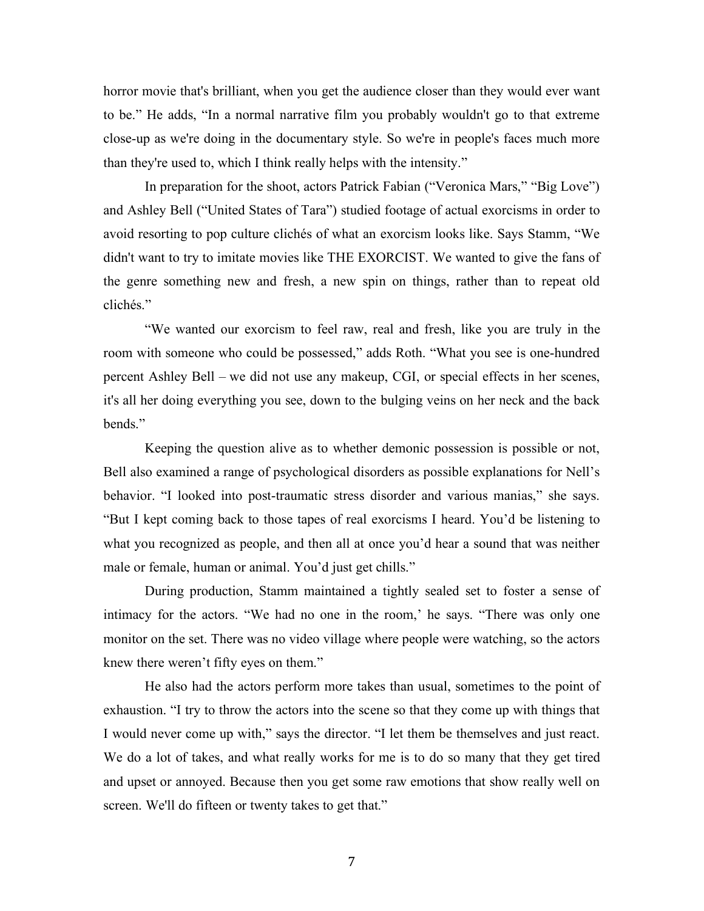horror movie that's brilliant, when you get the audience closer than they would ever want to be." He adds, "In a normal narrative film you probably wouldn't go to that extreme close-up as we're doing in the documentary style. So we're in people's faces much more than they're used to, which I think really helps with the intensity."

In preparation for the shoot, actors Patrick Fabian ("Veronica Mars," "Big Love") and Ashley Bell ("United States of Tara") studied footage of actual exorcisms in order to avoid resorting to pop culture clichés of what an exorcism looks like. Says Stamm, "We didn't want to try to imitate movies like THE EXORCIST. We wanted to give the fans of the genre something new and fresh, a new spin on things, rather than to repeat old clichés."

"We wanted our exorcism to feel raw, real and fresh, like you are truly in the room with someone who could be possessed," adds Roth. "What you see is one-hundred percent Ashley Bell – we did not use any makeup, CGI, or special effects in her scenes, it's all her doing everything you see, down to the bulging veins on her neck and the back bends."

Keeping the question alive as to whether demonic possession is possible or not, Bell also examined a range of psychological disorders as possible explanations for Nell's behavior. "I looked into post-traumatic stress disorder and various manias," she says. "But I kept coming back to those tapes of real exorcisms I heard. You'd be listening to what you recognized as people, and then all at once you'd hear a sound that was neither male or female, human or animal. You'd just get chills."

During production, Stamm maintained a tightly sealed set to foster a sense of intimacy for the actors. "We had no one in the room,' he says. "There was only one monitor on the set. There was no video village where people were watching, so the actors knew there weren't fifty eyes on them."

He also had the actors perform more takes than usual, sometimes to the point of exhaustion. "I try to throw the actors into the scene so that they come up with things that I would never come up with," says the director. "I let them be themselves and just react. We do a lot of takes, and what really works for me is to do so many that they get tired and upset or annoyed. Because then you get some raw emotions that show really well on screen. We'll do fifteen or twenty takes to get that."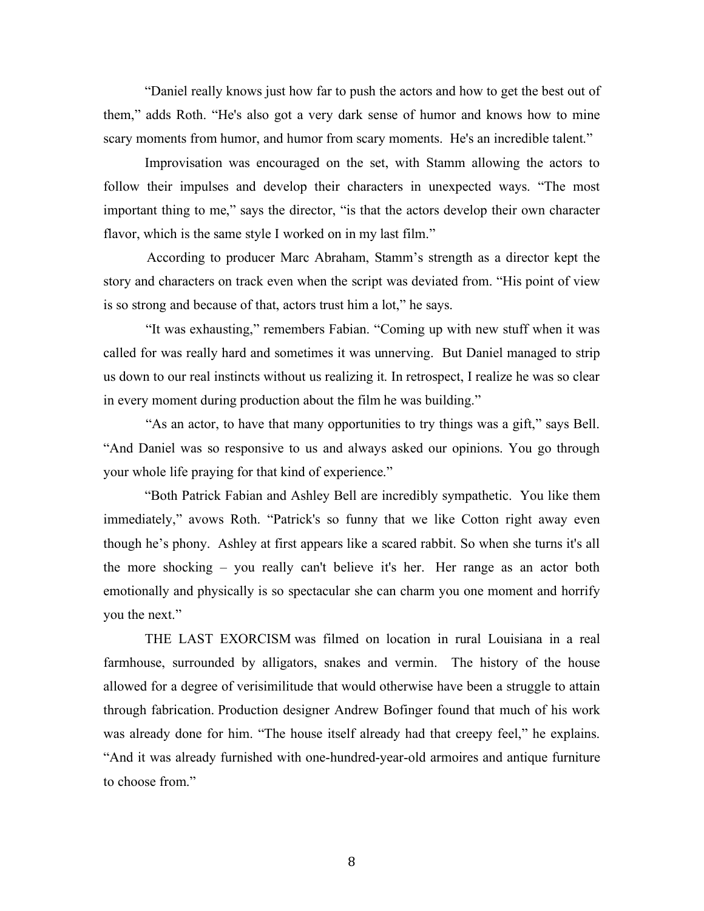"Daniel really knows just how far to push the actors and how to get the best out of them," adds Roth. "He's also got a very dark sense of humor and knows how to mine scary moments from humor, and humor from scary moments. He's an incredible talent."

Improvisation was encouraged on the set, with Stamm allowing the actors to follow their impulses and develop their characters in unexpected ways. "The most important thing to me," says the director, "is that the actors develop their own character flavor, which is the same style I worked on in my last film."

 According to producer Marc Abraham, Stamm's strength as a director kept the story and characters on track even when the script was deviated from. "His point of view is so strong and because of that, actors trust him a lot," he says.

 "It was exhausting," remembers Fabian. "Coming up with new stuff when it was called for was really hard and sometimes it was unnerving. But Daniel managed to strip us down to our real instincts without us realizing it. In retrospect, I realize he was so clear in every moment during production about the film he was building."

 "As an actor, to have that many opportunities to try things was a gift," says Bell. "And Daniel was so responsive to us and always asked our opinions. You go through your whole life praying for that kind of experience."

"Both Patrick Fabian and Ashley Bell are incredibly sympathetic. You like them immediately," avows Roth. "Patrick's so funny that we like Cotton right away even though he's phony. Ashley at first appears like a scared rabbit. So when she turns it's all the more shocking – you really can't believe it's her. Her range as an actor both emotionally and physically is so spectacular she can charm you one moment and horrify you the next."

THE LAST EXORCISM was filmed on location in rural Louisiana in a real farmhouse, surrounded by alligators, snakes and vermin. The history of the house allowed for a degree of verisimilitude that would otherwise have been a struggle to attain through fabrication. Production designer Andrew Bofinger found that much of his work was already done for him. "The house itself already had that creepy feel," he explains. "And it was already furnished with one-hundred-year-old armoires and antique furniture to choose from."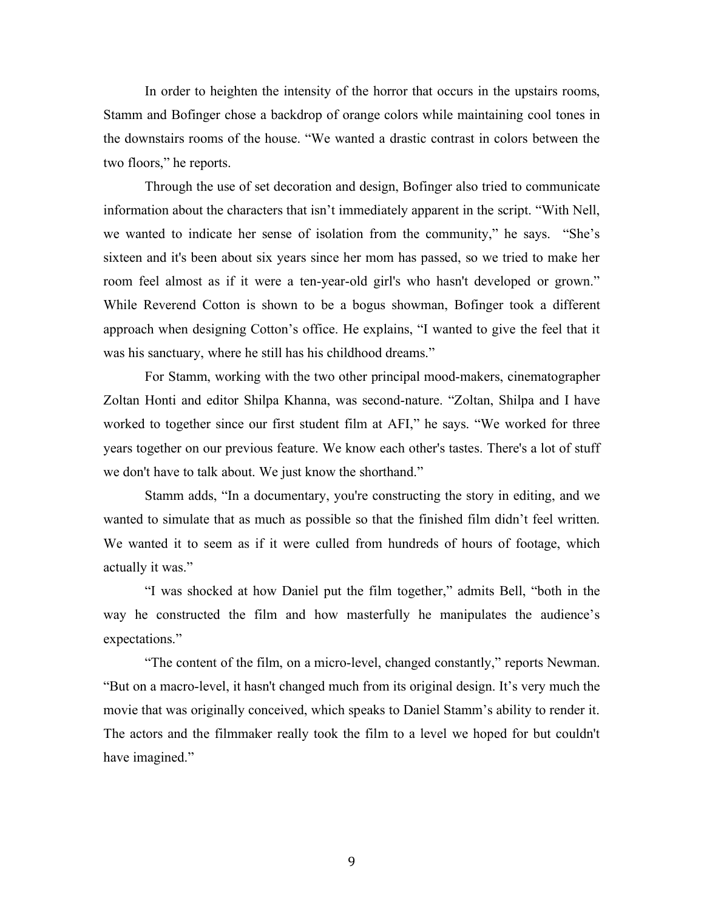In order to heighten the intensity of the horror that occurs in the upstairs rooms, Stamm and Bofinger chose a backdrop of orange colors while maintaining cool tones in the downstairs rooms of the house. "We wanted a drastic contrast in colors between the two floors," he reports.

Through the use of set decoration and design, Bofinger also tried to communicate information about the characters that isn't immediately apparent in the script. "With Nell, we wanted to indicate her sense of isolation from the community," he says. "She's sixteen and it's been about six years since her mom has passed, so we tried to make her room feel almost as if it were a ten-year-old girl's who hasn't developed or grown." While Reverend Cotton is shown to be a bogus showman, Bofinger took a different approach when designing Cotton's office. He explains, "I wanted to give the feel that it was his sanctuary, where he still has his childhood dreams."

For Stamm, working with the two other principal mood-makers, cinematographer Zoltan Honti and editor Shilpa Khanna, was second-nature. "Zoltan, Shilpa and I have worked to together since our first student film at AFI," he says. "We worked for three years together on our previous feature. We know each other's tastes. There's a lot of stuff we don't have to talk about. We just know the shorthand."

Stamm adds, "In a documentary, you're constructing the story in editing, and we wanted to simulate that as much as possible so that the finished film didn't feel written. We wanted it to seem as if it were culled from hundreds of hours of footage, which actually it was."

"I was shocked at how Daniel put the film together," admits Bell, "both in the way he constructed the film and how masterfully he manipulates the audience's expectations."

"The content of the film, on a micro-level, changed constantly," reports Newman. "But on a macro-level, it hasn't changed much from its original design. It's very much the movie that was originally conceived, which speaks to Daniel Stamm's ability to render it. The actors and the filmmaker really took the film to a level we hoped for but couldn't have imagined."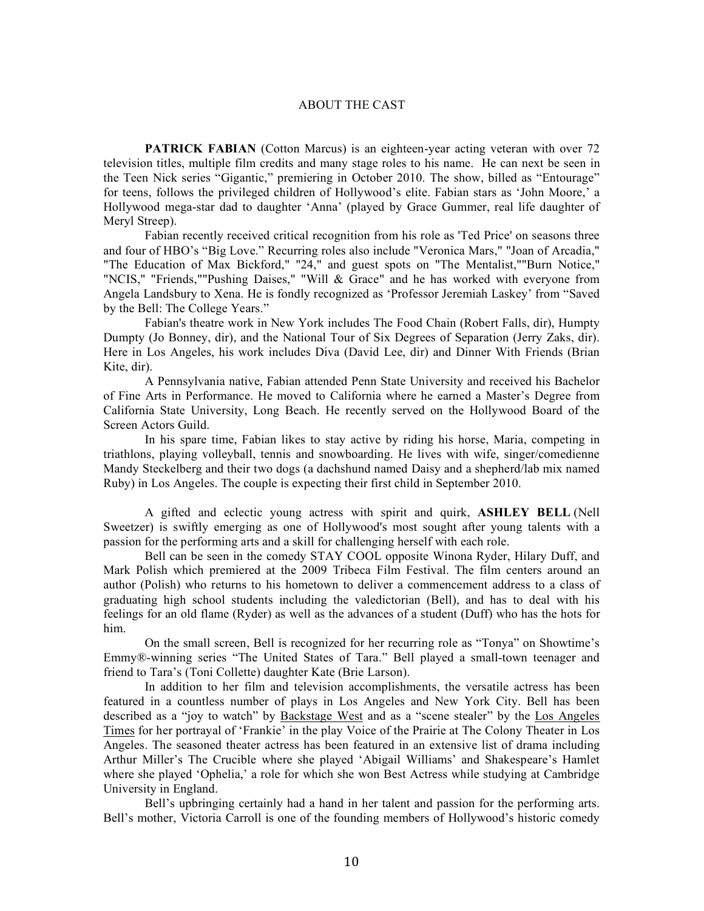#### ABOUT THE CAST

**PATRICK FABIAN** (Cotton Marcus) is an eighteen-year acting veteran with over 72 television titles, multiple film credits and many stage roles to his name. He can next be seen in the Teen Nick series "Gigantic," premiering in October 2010. The show, billed as "Entourage" for teens, follows the privileged children of Hollywood's elite. Fabian stars as 'John Moore,' a Hollywood mega-star dad to daughter 'Anna' (played by Grace Gummer, real life daughter of Meryl Streep).

Fabian recently received critical recognition from his role as 'Ted Price' on seasons three and four of HBO's "Big Love." Recurring roles also include "Veronica Mars," "Joan of Arcadia," "The Education of Max Bickford," "24," and guest spots on "The Mentalist,""Burn Notice," "NCIS," "Friends,""Pushing Daises," "Will & Grace" and he has worked with everyone from Angela Landsbury to Xena. He is fondly recognized as 'Professor Jeremiah Laskey' from "Saved by the Bell: The College Years."

Fabian's theatre work in New York includes The Food Chain (Robert Falls, dir), Humpty Dumpty (Jo Bonney, dir), and the National Tour of Six Degrees of Separation (Jerry Zaks, dir). Here in Los Angeles, his work includes Diva (David Lee, dir) and Dinner With Friends (Brian Kite, dir).

A Pennsylvania native, Fabian attended Penn State University and received his Bachelor of Fine Arts in Performance. He moved to California where he earned a Master's Degree from California State University, Long Beach. He recently served on the Hollywood Board of the Screen Actors Guild.

In his spare time, Fabian likes to stay active by riding his horse, Maria, competing in triathlons, playing volleyball, tennis and snowboarding. He lives with wife, singer/comedienne Mandy Steckelberg and their two dogs (a dachshund named Daisy and a shepherd/lab mix named Ruby) in Los Angeles. The couple is expecting their first child in September 2010.

A gifted and eclectic young actress with spirit and quirk, **ASHLEY BELL** (Nell Sweetzer) is swiftly emerging as one of Hollywood's most sought after young talents with a passion for the performing arts and a skill for challenging herself with each role.

Bell can be seen in the comedy STAY COOL opposite Winona Ryder, Hilary Duff, and Mark Polish which premiered at the 2009 Tribeca Film Festival. The film centers around an author (Polish) who returns to his hometown to deliver a commencement address to a class of graduating high school students including the valedictorian (Bell), and has to deal with his feelings for an old flame (Ryder) as well as the advances of a student (Duff) who has the hots for him.

On the small screen, Bell is recognized for her recurring role as "Tonya" on Showtime's Emmy®-winning series "The United States of Tara." Bell played a small-town teenager and friend to Tara's (Toni Collette) daughter Kate (Brie Larson).

In addition to her film and television accomplishments, the versatile actress has been featured in a countless number of plays in Los Angeles and New York City. Bell has been described as a "joy to watch" by Backstage West and as a "scene stealer" by the Los Angeles Times for her portrayal of 'Frankie' in the play Voice of the Prairie at The Colony Theater in Los Angeles. The seasoned theater actress has been featured in an extensive list of drama including Arthur Miller's The Crucible where she played 'Abigail Williams' and Shakespeare's Hamlet where she played 'Ophelia,' a role for which she won Best Actress while studying at Cambridge University in England.

Bell's upbringing certainly had a hand in her talent and passion for the performing arts. Bell's mother, Victoria Carroll is one of the founding members of Hollywood's historic comedy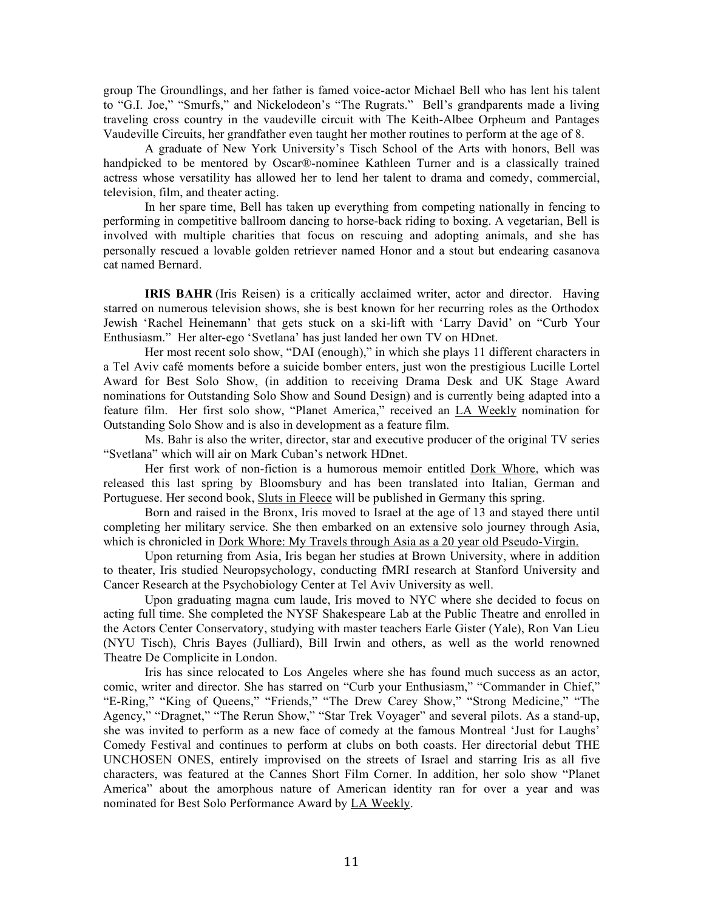group The Groundlings, and her father is famed voice-actor Michael Bell who has lent his talent to "G.I. Joe," "Smurfs," and Nickelodeon's "The Rugrats." Bell's grandparents made a living traveling cross country in the vaudeville circuit with The Keith-Albee Orpheum and Pantages Vaudeville Circuits, her grandfather even taught her mother routines to perform at the age of 8.

A graduate of New York University's Tisch School of the Arts with honors, Bell was handpicked to be mentored by Oscar®-nominee Kathleen Turner and is a classically trained actress whose versatility has allowed her to lend her talent to drama and comedy, commercial, television, film, and theater acting.

In her spare time, Bell has taken up everything from competing nationally in fencing to performing in competitive ballroom dancing to horse-back riding to boxing. A vegetarian, Bell is involved with multiple charities that focus on rescuing and adopting animals, and she has personally rescued a lovable golden retriever named Honor and a stout but endearing casanova cat named Bernard.

**IRIS BAHR** (Iris Reisen) is a critically acclaimed writer, actor and director. Having starred on numerous television shows, she is best known for her recurring roles as the Orthodox Jewish 'Rachel Heinemann' that gets stuck on a ski-lift with 'Larry David' on "Curb Your Enthusiasm." Her alter-ego 'Svetlana' has just landed her own TV on HDnet.

Her most recent solo show, "DAI (enough)," in which she plays 11 different characters in a Tel Aviv café moments before a suicide bomber enters, just won the prestigious Lucille Lortel Award for Best Solo Show, (in addition to receiving Drama Desk and UK Stage Award nominations for Outstanding Solo Show and Sound Design) and is currently being adapted into a feature film. Her first solo show, "Planet America," received an LA Weekly nomination for Outstanding Solo Show and is also in development as a feature film.

Ms. Bahr is also the writer, director, star and executive producer of the original TV series "Svetlana" which will air on Mark Cuban's network HDnet.

Her first work of non-fiction is a humorous memoir entitled Dork Whore, which was released this last spring by Bloomsbury and has been translated into Italian, German and Portuguese. Her second book, Sluts in Fleece will be published in Germany this spring.

Born and raised in the Bronx, Iris moved to Israel at the age of 13 and stayed there until completing her military service. She then embarked on an extensive solo journey through Asia, which is chronicled in Dork Whore: My Travels through Asia as a 20 year old Pseudo-Virgin.

Upon returning from Asia, Iris began her studies at Brown University, where in addition to theater, Iris studied Neuropsychology, conducting fMRI research at Stanford University and Cancer Research at the Psychobiology Center at Tel Aviv University as well.

Upon graduating magna cum laude, Iris moved to NYC where she decided to focus on acting full time. She completed the NYSF Shakespeare Lab at the Public Theatre and enrolled in the Actors Center Conservatory, studying with master teachers Earle Gister (Yale), Ron Van Lieu (NYU Tisch), Chris Bayes (Julliard), Bill Irwin and others, as well as the world renowned Theatre De Complicite in London.

Iris has since relocated to Los Angeles where she has found much success as an actor, comic, writer and director. She has starred on "Curb your Enthusiasm," "Commander in Chief," "E-Ring," "King of Queens," "Friends," "The Drew Carey Show," "Strong Medicine," "The Agency," "Dragnet," "The Rerun Show," "Star Trek Voyager" and several pilots. As a stand-up, she was invited to perform as a new face of comedy at the famous Montreal 'Just for Laughs' Comedy Festival and continues to perform at clubs on both coasts. Her directorial debut THE UNCHOSEN ONES, entirely improvised on the streets of Israel and starring Iris as all five characters, was featured at the Cannes Short Film Corner. In addition, her solo show "Planet America" about the amorphous nature of American identity ran for over a year and was nominated for Best Solo Performance Award by LA Weekly.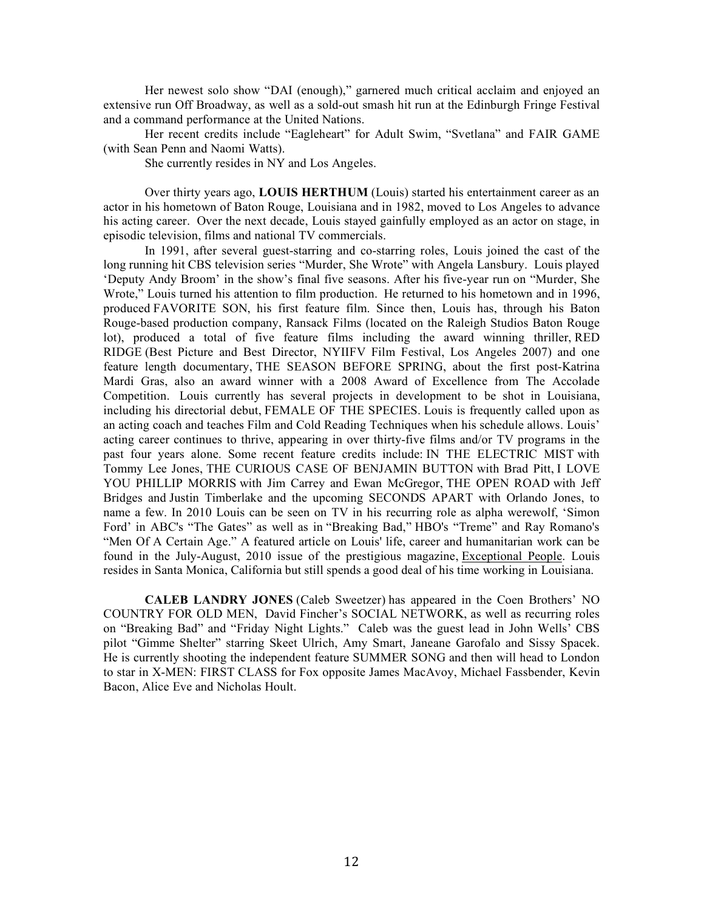Her newest solo show "DAI (enough)," garnered much critical acclaim and enjoyed an extensive run Off Broadway, as well as a sold-out smash hit run at the Edinburgh Fringe Festival and a command performance at the United Nations.

Her recent credits include "Eagleheart" for Adult Swim, "Svetlana" and FAIR GAME (with Sean Penn and Naomi Watts).

She currently resides in NY and Los Angeles.

Over thirty years ago, **LOUIS HERTHUM** (Louis) started his entertainment career as an actor in his hometown of Baton Rouge, Louisiana and in 1982, moved to Los Angeles to advance his acting career. Over the next decade, Louis stayed gainfully employed as an actor on stage, in episodic television, films and national TV commercials.

In 1991, after several guest-starring and co-starring roles, Louis joined the cast of the long running hit CBS television series "Murder, She Wrote" with Angela Lansbury. Louis played 'Deputy Andy Broom' in the show's final five seasons. After his five-year run on "Murder, She Wrote," Louis turned his attention to film production. He returned to his hometown and in 1996, produced FAVORITE SON, his first feature film. Since then, Louis has, through his Baton Rouge-based production company, Ransack Films (located on the Raleigh Studios Baton Rouge lot), produced a total of five feature films including the award winning thriller, RED RIDGE (Best Picture and Best Director, NYIIFV Film Festival, Los Angeles 2007) and one feature length documentary, THE SEASON BEFORE SPRING, about the first post-Katrina Mardi Gras, also an award winner with a 2008 Award of Excellence from The Accolade Competition. Louis currently has several projects in development to be shot in Louisiana, including his directorial debut, FEMALE OF THE SPECIES. Louis is frequently called upon as an acting coach and teaches Film and Cold Reading Techniques when his schedule allows. Louis' acting career continues to thrive, appearing in over thirty-five films and/or TV programs in the past four years alone. Some recent feature credits include: IN THE ELECTRIC MIST with Tommy Lee Jones, THE CURIOUS CASE OF BENJAMIN BUTTON with Brad Pitt, I LOVE YOU PHILLIP MORRIS with Jim Carrey and Ewan McGregor, THE OPEN ROAD with Jeff Bridges and Justin Timberlake and the upcoming SECONDS APART with Orlando Jones, to name a few. In 2010 Louis can be seen on TV in his recurring role as alpha werewolf, 'Simon Ford' in ABC's "The Gates" as well as in "Breaking Bad," HBO's "Treme" and Ray Romano's "Men Of A Certain Age." A featured article on Louis' life, career and humanitarian work can be found in the July-August, 2010 issue of the prestigious magazine, Exceptional People. Louis resides in Santa Monica, California but still spends a good deal of his time working in Louisiana.

**CALEB LANDRY JONES** (Caleb Sweetzer) has appeared in the Coen Brothers' NO COUNTRY FOR OLD MEN, David Fincher's SOCIAL NETWORK, as well as recurring roles on "Breaking Bad" and "Friday Night Lights." Caleb was the guest lead in John Wells' CBS pilot "Gimme Shelter" starring Skeet Ulrich, Amy Smart, Janeane Garofalo and Sissy Spacek. He is currently shooting the independent feature SUMMER SONG and then will head to London to star in X-MEN: FIRST CLASS for Fox opposite James MacAvoy, Michael Fassbender, Kevin Bacon, Alice Eve and Nicholas Hoult.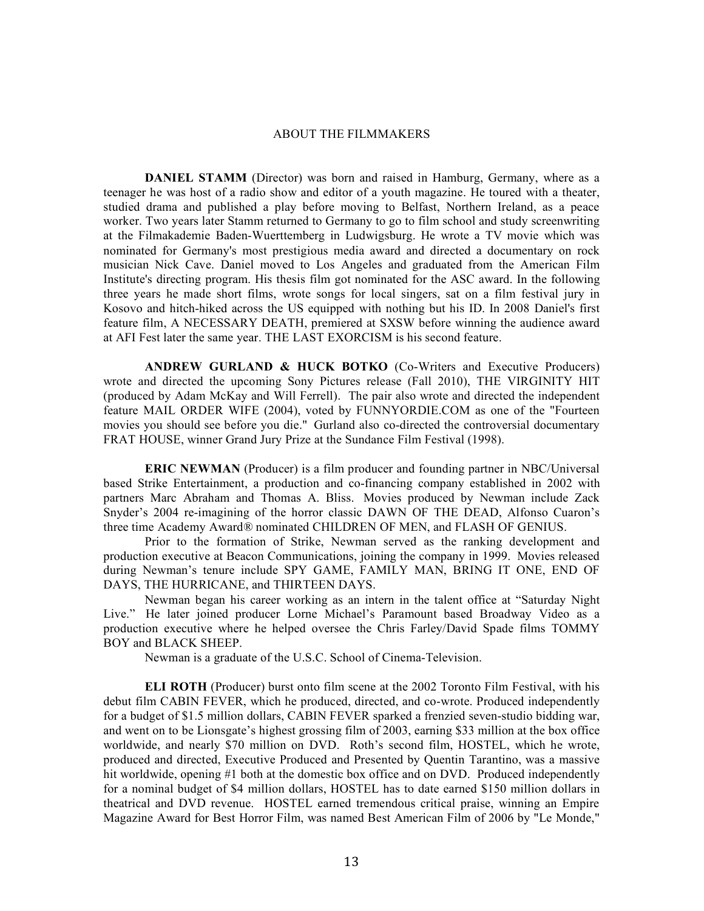#### ABOUT THE FILMMAKERS

**DANIEL STAMM** (Director) was born and raised in Hamburg, Germany, where as a teenager he was host of a radio show and editor of a youth magazine. He toured with a theater, studied drama and published a play before moving to Belfast, Northern Ireland, as a peace worker. Two years later Stamm returned to Germany to go to film school and study screenwriting at the Filmakademie Baden-Wuerttemberg in Ludwigsburg. He wrote a TV movie which was nominated for Germany's most prestigious media award and directed a documentary on rock musician Nick Cave. Daniel moved to Los Angeles and graduated from the American Film Institute's directing program. His thesis film got nominated for the ASC award. In the following three years he made short films, wrote songs for local singers, sat on a film festival jury in Kosovo and hitch-hiked across the US equipped with nothing but his ID. In 2008 Daniel's first feature film, A NECESSARY DEATH, premiered at SXSW before winning the audience award at AFI Fest later the same year. THE LAST EXORCISM is his second feature.

**ANDREW GURLAND & HUCK BOTKO** (Co-Writers and Executive Producers) wrote and directed the upcoming Sony Pictures release (Fall 2010), THE VIRGINITY HIT (produced by Adam McKay and Will Ferrell). The pair also wrote and directed the independent feature MAIL ORDER WIFE (2004), voted by FUNNYORDIE.COM as one of the "Fourteen movies you should see before you die." Gurland also co-directed the controversial documentary FRAT HOUSE, winner Grand Jury Prize at the Sundance Film Festival (1998).

**ERIC NEWMAN** (Producer) is a film producer and founding partner in NBC/Universal based Strike Entertainment, a production and co-financing company established in 2002 with partners Marc Abraham and Thomas A. Bliss. Movies produced by Newman include Zack Snyder's 2004 re-imagining of the horror classic DAWN OF THE DEAD, Alfonso Cuaron's three time Academy Award® nominated CHILDREN OF MEN, and FLASH OF GENIUS.

Prior to the formation of Strike, Newman served as the ranking development and production executive at Beacon Communications, joining the company in 1999. Movies released during Newman's tenure include SPY GAME, FAMILY MAN, BRING IT ONE, END OF DAYS, THE HURRICANE, and THIRTEEN DAYS.

Newman began his career working as an intern in the talent office at "Saturday Night Live." He later joined producer Lorne Michael's Paramount based Broadway Video as a production executive where he helped oversee the Chris Farley/David Spade films TOMMY BOY and BLACK SHEEP.

Newman is a graduate of the U.S.C. School of Cinema-Television.

**ELI ROTH** (Producer) burst onto film scene at the 2002 Toronto Film Festival, with his debut film CABIN FEVER, which he produced, directed, and co-wrote. Produced independently for a budget of \$1.5 million dollars, CABIN FEVER sparked a frenzied seven-studio bidding war, and went on to be Lionsgate's highest grossing film of 2003, earning \$33 million at the box office worldwide, and nearly \$70 million on DVD. Roth's second film, HOSTEL, which he wrote, produced and directed, Executive Produced and Presented by Quentin Tarantino, was a massive hit worldwide, opening #1 both at the domestic box office and on DVD. Produced independently for a nominal budget of \$4 million dollars, HOSTEL has to date earned \$150 million dollars in theatrical and DVD revenue. HOSTEL earned tremendous critical praise, winning an Empire Magazine Award for Best Horror Film, was named Best American Film of 2006 by "Le Monde,"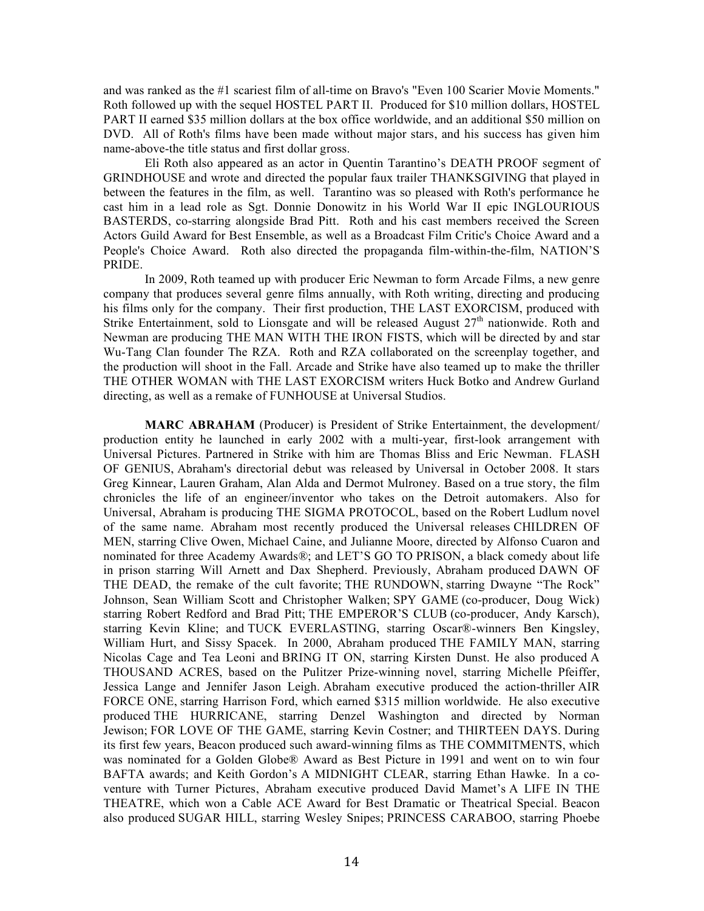and was ranked as the #1 scariest film of all-time on Bravo's "Even 100 Scarier Movie Moments." Roth followed up with the sequel HOSTEL PART II. Produced for \$10 million dollars, HOSTEL PART II earned \$35 million dollars at the box office worldwide, and an additional \$50 million on DVD. All of Roth's films have been made without major stars, and his success has given him name-above-the title status and first dollar gross.

Eli Roth also appeared as an actor in Quentin Tarantino's DEATH PROOF segment of GRINDHOUSE and wrote and directed the popular faux trailer THANKSGIVING that played in between the features in the film, as well. Tarantino was so pleased with Roth's performance he cast him in a lead role as Sgt. Donnie Donowitz in his World War II epic INGLOURIOUS BASTERDS, co-starring alongside Brad Pitt. Roth and his cast members received the Screen Actors Guild Award for Best Ensemble, as well as a Broadcast Film Critic's Choice Award and a People's Choice Award. Roth also directed the propaganda film-within-the-film, NATION'S PRIDE.

In 2009, Roth teamed up with producer Eric Newman to form Arcade Films, a new genre company that produces several genre films annually, with Roth writing, directing and producing his films only for the company. Their first production, THE LAST EXORCISM, produced with Strike Entertainment, sold to Lionsgate and will be released August  $27<sup>th</sup>$  nationwide. Roth and Newman are producing THE MAN WITH THE IRON FISTS, which will be directed by and star Wu-Tang Clan founder The RZA. Roth and RZA collaborated on the screenplay together, and the production will shoot in the Fall. Arcade and Strike have also teamed up to make the thriller THE OTHER WOMAN with THE LAST EXORCISM writers Huck Botko and Andrew Gurland directing, as well as a remake of FUNHOUSE at Universal Studios.

**MARC ABRAHAM** (Producer) is President of Strike Entertainment, the development/ production entity he launched in early 2002 with a multi-year, first-look arrangement with Universal Pictures. Partnered in Strike with him are Thomas Bliss and Eric Newman. FLASH OF GENIUS, Abraham's directorial debut was released by Universal in October 2008. It stars Greg Kinnear, Lauren Graham, Alan Alda and Dermot Mulroney. Based on a true story, the film chronicles the life of an engineer/inventor who takes on the Detroit automakers. Also for Universal, Abraham is producing THE SIGMA PROTOCOL, based on the Robert Ludlum novel of the same name. Abraham most recently produced the Universal releases CHILDREN OF MEN, starring Clive Owen, Michael Caine, and Julianne Moore, directed by Alfonso Cuaron and nominated for three Academy Awards®; and LET'S GO TO PRISON, a black comedy about life in prison starring Will Arnett and Dax Shepherd. Previously, Abraham produced DAWN OF THE DEAD, the remake of the cult favorite; THE RUNDOWN, starring Dwayne "The Rock" Johnson, Sean William Scott and Christopher Walken; SPY GAME (co-producer, Doug Wick) starring Robert Redford and Brad Pitt; THE EMPEROR'S CLUB (co-producer, Andy Karsch), starring Kevin Kline; and TUCK EVERLASTING, starring Oscar®-winners Ben Kingsley, William Hurt, and Sissy Spacek. In 2000, Abraham produced THE FAMILY MAN, starring Nicolas Cage and Tea Leoni and BRING IT ON, starring Kirsten Dunst. He also produced A THOUSAND ACRES, based on the Pulitzer Prize-winning novel, starring Michelle Pfeiffer, Jessica Lange and Jennifer Jason Leigh. Abraham executive produced the action-thriller AIR FORCE ONE, starring Harrison Ford, which earned \$315 million worldwide. He also executive produced THE HURRICANE, starring Denzel Washington and directed by Norman Jewison; FOR LOVE OF THE GAME, starring Kevin Costner; and THIRTEEN DAYS. During its first few years, Beacon produced such award-winning films as THE COMMITMENTS, which was nominated for a Golden Globe® Award as Best Picture in 1991 and went on to win four BAFTA awards; and Keith Gordon's A MIDNIGHT CLEAR, starring Ethan Hawke. In a coventure with Turner Pictures, Abraham executive produced David Mamet's A LIFE IN THE THEATRE, which won a Cable ACE Award for Best Dramatic or Theatrical Special. Beacon also produced SUGAR HILL, starring Wesley Snipes; PRINCESS CARABOO, starring Phoebe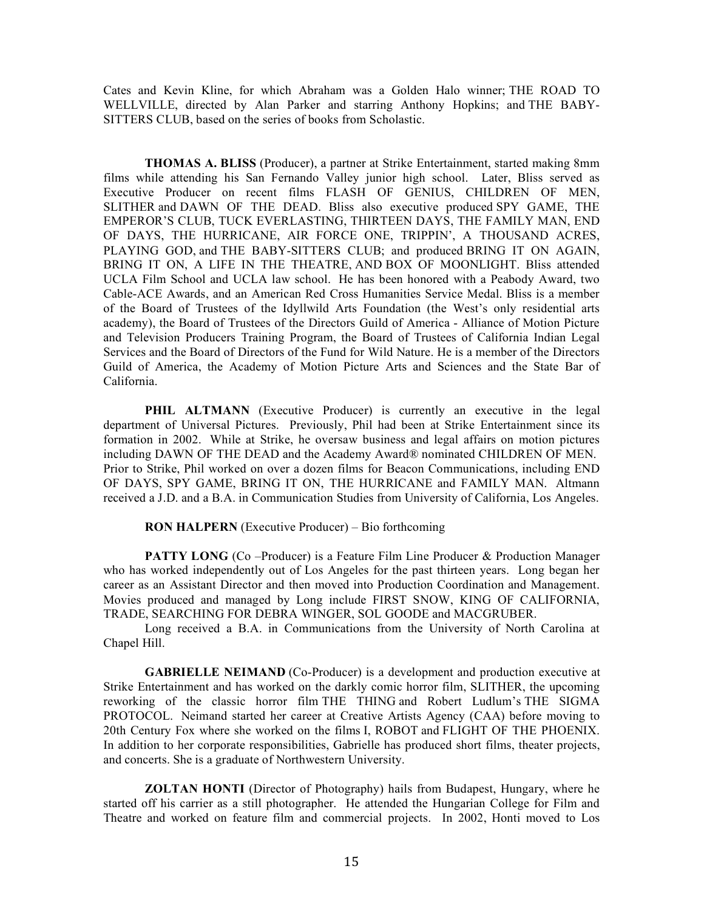Cates and Kevin Kline, for which Abraham was a Golden Halo winner; THE ROAD TO WELLVILLE, directed by Alan Parker and starring Anthony Hopkins; and THE BABY-SITTERS CLUB, based on the series of books from Scholastic.

**THOMAS A. BLISS** (Producer), a partner at Strike Entertainment, started making 8mm films while attending his San Fernando Valley junior high school. Later, Bliss served as Executive Producer on recent films FLASH OF GENIUS, CHILDREN OF MEN, SLITHER and DAWN OF THE DEAD. Bliss also executive produced SPY GAME, THE EMPEROR'S CLUB, TUCK EVERLASTING, THIRTEEN DAYS, THE FAMILY MAN, END OF DAYS, THE HURRICANE, AIR FORCE ONE, TRIPPIN', A THOUSAND ACRES, PLAYING GOD, and THE BABY-SITTERS CLUB; and produced BRING IT ON AGAIN, BRING IT ON, A LIFE IN THE THEATRE, AND BOX OF MOONLIGHT. Bliss attended UCLA Film School and UCLA law school. He has been honored with a Peabody Award, two Cable-ACE Awards, and an American Red Cross Humanities Service Medal. Bliss is a member of the Board of Trustees of the Idyllwild Arts Foundation (the West's only residential arts academy), the Board of Trustees of the Directors Guild of America - Alliance of Motion Picture and Television Producers Training Program, the Board of Trustees of California Indian Legal Services and the Board of Directors of the Fund for Wild Nature. He is a member of the Directors Guild of America, the Academy of Motion Picture Arts and Sciences and the State Bar of California.

**PHIL ALTMANN** (Executive Producer) is currently an executive in the legal department of Universal Pictures. Previously, Phil had been at Strike Entertainment since its formation in 2002. While at Strike, he oversaw business and legal affairs on motion pictures including DAWN OF THE DEAD and the Academy Award® nominated CHILDREN OF MEN. Prior to Strike, Phil worked on over a dozen films for Beacon Communications, including END OF DAYS, SPY GAME, BRING IT ON, THE HURRICANE and FAMILY MAN. Altmann received a J.D. and a B.A. in Communication Studies from University of California, Los Angeles.

**RON HALPERN** (Executive Producer) – Bio forthcoming

**PATTY LONG** (Co –Producer) is a Feature Film Line Producer & Production Manager who has worked independently out of Los Angeles for the past thirteen years. Long began her career as an Assistant Director and then moved into Production Coordination and Management. Movies produced and managed by Long include FIRST SNOW, KING OF CALIFORNIA, TRADE, SEARCHING FOR DEBRA WINGER, SOL GOODE and MACGRUBER.

Long received a B.A. in Communications from the University of North Carolina at Chapel Hill.

**GABRIELLE NEIMAND** (Co-Producer) is a development and production executive at Strike Entertainment and has worked on the darkly comic horror film, SLITHER, the upcoming reworking of the classic horror film THE THING and Robert Ludlum's THE SIGMA PROTOCOL. Neimand started her career at Creative Artists Agency (CAA) before moving to 20th Century Fox where she worked on the films I, ROBOT and FLIGHT OF THE PHOENIX. In addition to her corporate responsibilities, Gabrielle has produced short films, theater projects, and concerts. She is a graduate of Northwestern University.

**ZOLTAN HONTI** (Director of Photography) hails from Budapest, Hungary, where he started off his carrier as a still photographer. He attended the Hungarian College for Film and Theatre and worked on feature film and commercial projects. In 2002, Honti moved to Los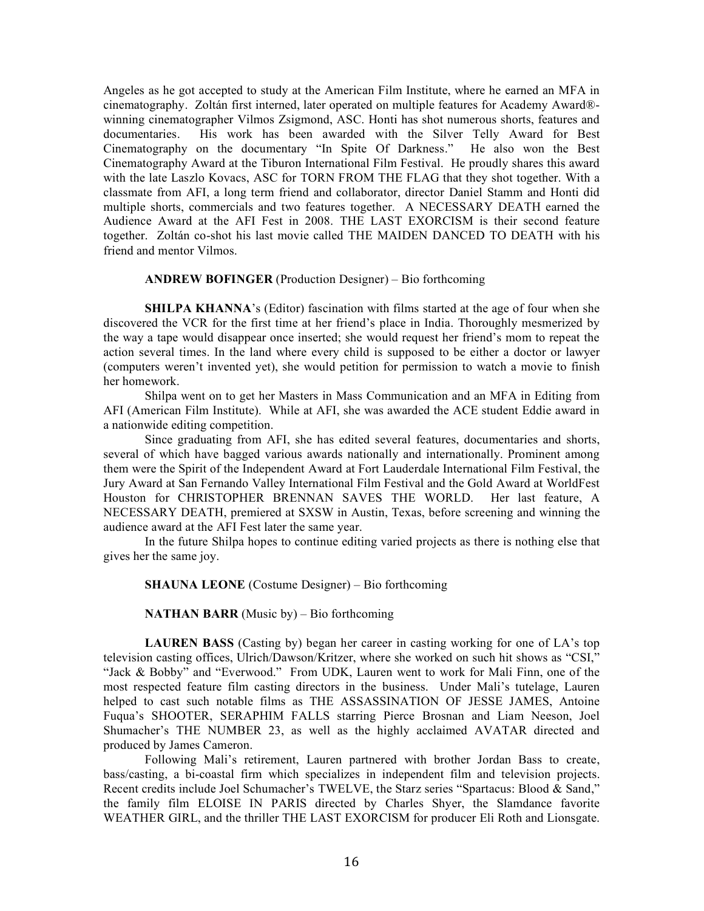Angeles as he got accepted to study at the American Film Institute, where he earned an MFA in cinematography. Zoltán first interned, later operated on multiple features for Academy Award® winning cinematographer Vilmos Zsigmond, ASC. Honti has shot numerous shorts, features and documentaries. His work has been awarded with the Silver Telly Award for Best Cinematography on the documentary "In Spite Of Darkness." He also won the Best Cinematography Award at the Tiburon International Film Festival. He proudly shares this award with the late Laszlo Kovacs, ASC for TORN FROM THE FLAG that they shot together. With a classmate from AFI, a long term friend and collaborator, director Daniel Stamm and Honti did multiple shorts, commercials and two features together. A NECESSARY DEATH earned the Audience Award at the AFI Fest in 2008. THE LAST EXORCISM is their second feature together. Zoltán co-shot his last movie called THE MAIDEN DANCED TO DEATH with his friend and mentor Vilmos.

#### **ANDREW BOFINGER** (Production Designer) – Bio forthcoming

**SHILPA KHANNA**'s (Editor) fascination with films started at the age of four when she discovered the VCR for the first time at her friend's place in India. Thoroughly mesmerized by the way a tape would disappear once inserted; she would request her friend's mom to repeat the action several times. In the land where every child is supposed to be either a doctor or lawyer (computers weren't invented yet), she would petition for permission to watch a movie to finish her homework.

Shilpa went on to get her Masters in Mass Communication and an MFA in Editing from AFI (American Film Institute). While at AFI, she was awarded the ACE student Eddie award in a nationwide editing competition.

Since graduating from AFI, she has edited several features, documentaries and shorts, several of which have bagged various awards nationally and internationally. Prominent among them were the Spirit of the Independent Award at Fort Lauderdale International Film Festival, the Jury Award at San Fernando Valley International Film Festival and the Gold Award at WorldFest Houston for CHRISTOPHER BRENNAN SAVES THE WORLD. Her last feature, A NECESSARY DEATH, premiered at SXSW in Austin, Texas, before screening and winning the audience award at the AFI Fest later the same year.

In the future Shilpa hopes to continue editing varied projects as there is nothing else that gives her the same joy.

**SHAUNA LEONE** (Costume Designer) – Bio forthcoming

## **NATHAN BARR** (Music by) – Bio forthcoming

**LAUREN BASS** (Casting by) began her career in casting working for one of LA's top television casting offices, Ulrich/Dawson/Kritzer, where she worked on such hit shows as "CSI," "Jack & Bobby" and "Everwood." From UDK, Lauren went to work for Mali Finn, one of the most respected feature film casting directors in the business. Under Mali's tutelage, Lauren helped to cast such notable films as THE ASSASSINATION OF JESSE JAMES, Antoine Fuqua's SHOOTER, SERAPHIM FALLS starring Pierce Brosnan and Liam Neeson, Joel Shumacher's THE NUMBER 23, as well as the highly acclaimed AVATAR directed and produced by James Cameron.

Following Mali's retirement, Lauren partnered with brother Jordan Bass to create, bass/casting, a bi-coastal firm which specializes in independent film and television projects. Recent credits include Joel Schumacher's TWELVE, the Starz series "Spartacus: Blood & Sand," the family film ELOISE IN PARIS directed by Charles Shyer, the Slamdance favorite WEATHER GIRL, and the thriller THE LAST EXORCISM for producer Eli Roth and Lionsgate.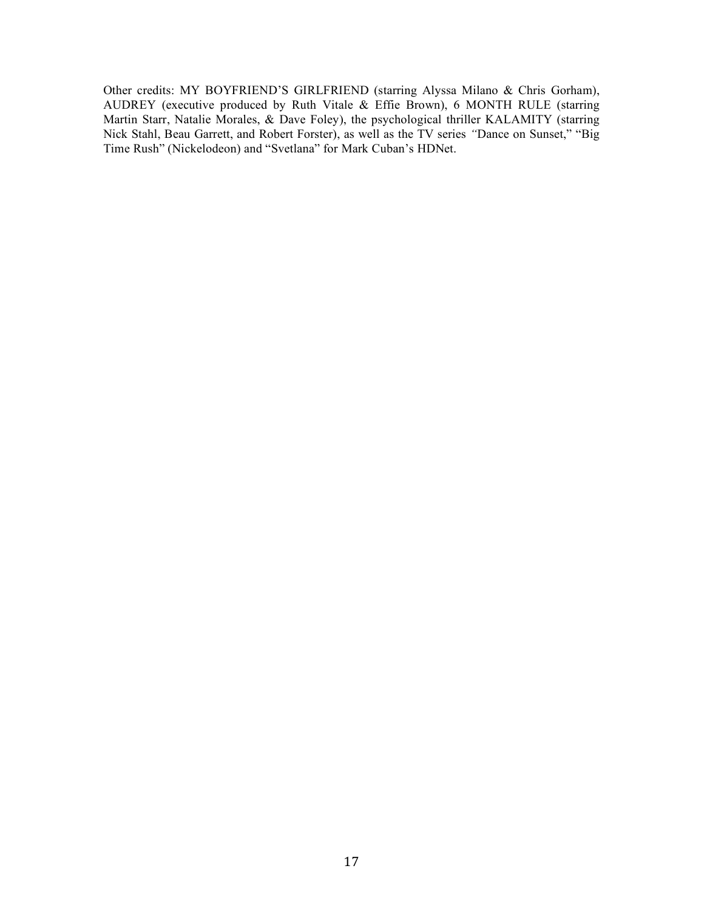Other credits: MY BOYFRIEND'S GIRLFRIEND (starring Alyssa Milano & Chris Gorham), AUDREY (executive produced by Ruth Vitale & Effie Brown), 6 MONTH RULE (starring Martin Starr, Natalie Morales, & Dave Foley), the psychological thriller KALAMITY (starring Nick Stahl, Beau Garrett, and Robert Forster), as well as the TV series *"*Dance on Sunset," "Big Time Rush" (Nickelodeon) and "Svetlana" for Mark Cuban's HDNet.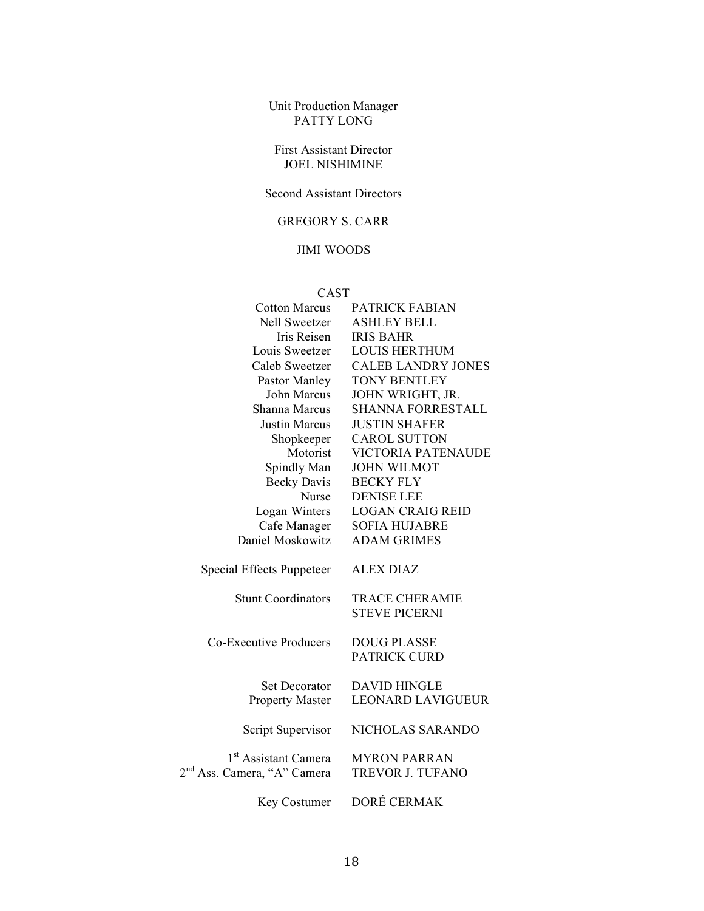Unit Production Manager PATTY LONG

## First Assistant Director JOEL NISHIMINE

Second Assistant Directors

# GREGORY S. CARR

## JIMI WOODS

| <b>CAST</b>                             |                                               |
|-----------------------------------------|-----------------------------------------------|
| <b>Cotton Marcus</b>                    | PATRICK FABIAN                                |
| Nell Sweetzer                           | <b>ASHLEY BELL</b>                            |
| Iris Reisen                             | <b>IRIS BAHR</b>                              |
| Louis Sweetzer                          | <b>LOUIS HERTHUM</b>                          |
| Caleb Sweetzer                          | <b>CALEB LANDRY JONES</b>                     |
| Pastor Manley                           | <b>TONY BENTLEY</b>                           |
| John Marcus                             | JOHN WRIGHT, JR.                              |
| Shanna Marcus                           | SHANNA FORRESTALL                             |
| <b>Justin Marcus</b>                    | <b>JUSTIN SHAFER</b>                          |
| Shopkeeper                              | <b>CAROL SUTTON</b>                           |
| Motorist                                | VICTORIA PATENAUDE                            |
| Spindly Man                             | <b>JOHN WILMOT</b>                            |
| <b>Becky Davis</b>                      | <b>BECKY FLY</b>                              |
| Nurse                                   | <b>DENISE LEE</b>                             |
| Logan Winters                           | <b>LOGAN CRAIG REID</b>                       |
| Cafe Manager                            | <b>SOFIA HUJABRE</b>                          |
| Daniel Moskowitz                        | <b>ADAM GRIMES</b>                            |
| <b>Special Effects Puppeteer</b>        | <b>ALEX DIAZ</b>                              |
| <b>Stunt Coordinators</b>               | <b>TRACE CHERAMIE</b><br><b>STEVE PICERNI</b> |
| Co-Executive Producers                  | <b>DOUG PLASSE</b><br><b>PATRICK CURD</b>     |
| <b>Set Decorator</b>                    | <b>DAVID HINGLE</b>                           |
| <b>Property Master</b>                  | <b>LEONARD LAVIGUEUR</b>                      |
| Script Supervisor                       | NICHOLAS SARANDO                              |
| 1 <sup>st</sup> Assistant Camera        | <b>MYRON PARRAN</b>                           |
| 2 <sup>nd</sup> Ass. Camera, "A" Camera | TREVOR J. TUFANO                              |
| Key Costumer                            | DORÉ CERMAK                                   |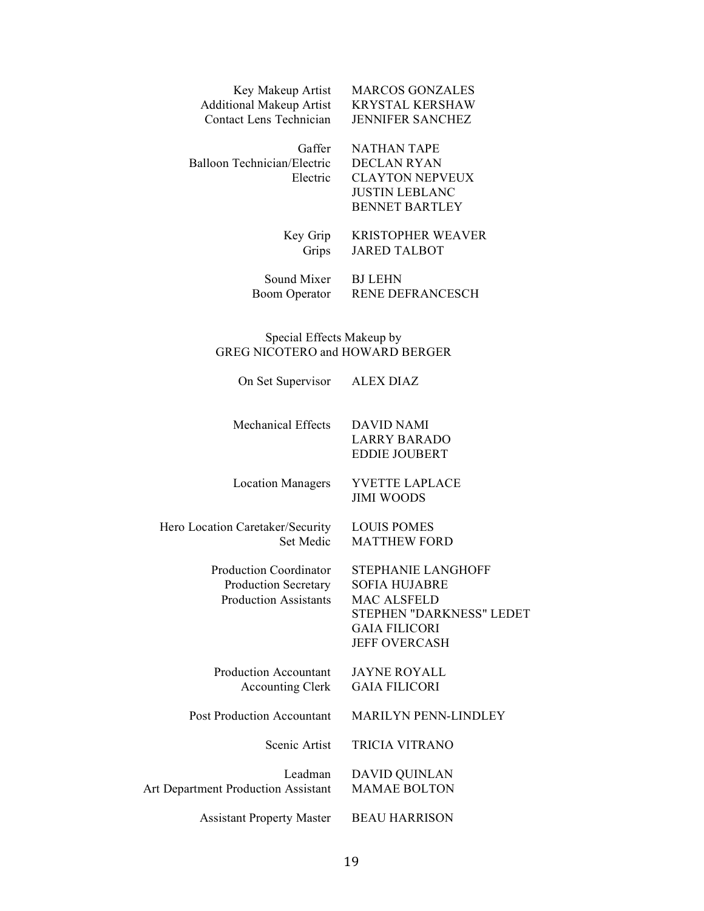| Key Makeup Artist               |
|---------------------------------|
| <b>Additional Makeup Artist</b> |
| Contact Lens Technician         |

Balloon Technician/Electric DECLAN RYAN

Gaffer NATHAN TAPE Electric CLAYTON NEPVEUX JUSTIN LEBLANC

**MARCOS GONZALES** KRYSTAL KERSHAW JENNIFER SANCHEZ

## Key Grip KRISTOPHER WEAVER Grips JARED TALBOT

BENNET BARTLEY

Sound Mixer BJ LEHN<br>Boom Operator RENE DE

RENE DEFRANCESCH

## Special Effects Makeup by GREG NICOTERO and HOWARD BERGER

| On Set Supervisor                                                                     | <b>ALEX DIAZ</b>                                                                                                                                    |
|---------------------------------------------------------------------------------------|-----------------------------------------------------------------------------------------------------------------------------------------------------|
| <b>Mechanical Effects</b>                                                             | DAVID NAMI<br><b>LARRY BARADO</b><br><b>EDDIE JOUBERT</b>                                                                                           |
| <b>Location Managers</b>                                                              | <b>YVETTE LAPLACE</b><br><b>JIMI WOODS</b>                                                                                                          |
| Hero Location Caretaker/Security<br>Set Medic                                         | <b>LOUIS POMES</b><br><b>MATTHEW FORD</b>                                                                                                           |
| <b>Production Coordinator</b><br>Production Secretary<br><b>Production Assistants</b> | <b>STEPHANIE LANGHOFF</b><br><b>SOFIA HUJABRE</b><br><b>MAC ALSFELD</b><br>STEPHEN "DARKNESS" LEDET<br><b>GAIA FILICORI</b><br><b>JEFF OVERCASH</b> |
| <b>Production Accountant</b><br><b>Accounting Clerk</b>                               | <b>JAYNE ROYALL</b><br><b>GAIA FILICORI</b>                                                                                                         |
| <b>Post Production Accountant</b>                                                     | <b>MARILYN PENN-LINDLEY</b>                                                                                                                         |
| Scenic Artist                                                                         | <b>TRICIA VITRANO</b>                                                                                                                               |
| Leadman<br><b>Art Department Production Assistant</b>                                 | <b>DAVID QUINLAN</b><br><b>MAMAE BOLTON</b>                                                                                                         |
| <b>Assistant Property Master</b>                                                      | <b>BEAU HARRISON</b>                                                                                                                                |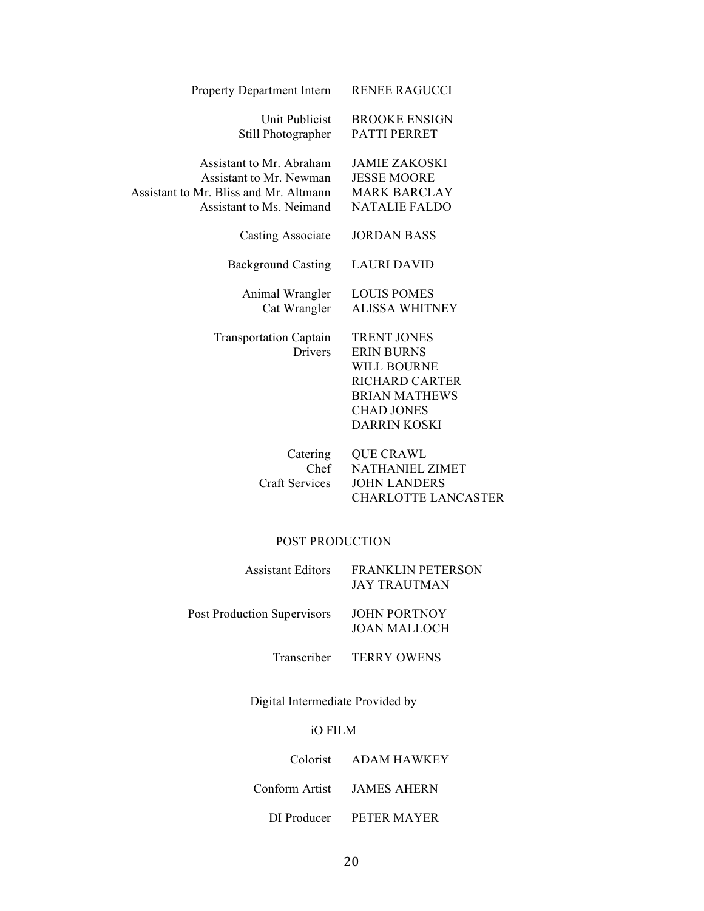| Property Department Intern                                                                                                | <b>RENEE RAGUCCI</b>                                                                                                                                       |
|---------------------------------------------------------------------------------------------------------------------------|------------------------------------------------------------------------------------------------------------------------------------------------------------|
| Unit Publicist<br>Still Photographer                                                                                      | <b>BROOKE ENSIGN</b><br><b>PATTI PERRET</b>                                                                                                                |
| Assistant to Mr. Abraham<br>Assistant to Mr. Newman<br>Assistant to Mr. Bliss and Mr. Altmann<br>Assistant to Ms. Neimand | <b>JAMIE ZAKOSKI</b><br><b>JESSE MOORE</b><br><b>MARK BARCLAY</b><br><b>NATALIE FALDO</b>                                                                  |
| Casting Associate                                                                                                         | <b>JORDAN BASS</b>                                                                                                                                         |
| <b>Background Casting</b>                                                                                                 | <b>LAURI DAVID</b>                                                                                                                                         |
| Animal Wrangler<br>Cat Wrangler                                                                                           | <b>LOUIS POMES</b><br><b>ALISSA WHITNEY</b>                                                                                                                |
| <b>Transportation Captain</b><br><b>Drivers</b>                                                                           | <b>TRENT JONES</b><br><b>ERIN BURNS</b><br><b>WILL BOURNE</b><br><b>RICHARD CARTER</b><br><b>BRIAN MATHEWS</b><br><b>CHAD JONES</b><br><b>DARRIN KOSKI</b> |
| Catering<br>Chef<br><b>Craft Services</b>                                                                                 | <b>QUE CRAWL</b><br>NATHANIEL ZIMET<br><b>JOHN LANDERS</b><br><b>CHARLOTTE LANCASTER</b>                                                                   |

# POST PRODUCTION

| <b>Assistant Editors</b>           | <b>FRANKLIN PETERSON</b><br>JAY TRAUTMAN |
|------------------------------------|------------------------------------------|
| <b>Post Production Supervisors</b> | <b>JOHN PORTNOY</b><br>JOAN MALLOCH      |

Transcriber TERRY OWENS

Digital Intermediate Provided by

# iO FILM

## Colorist ADAM HAWKEY

Conform Artist JAMES AHERN

DI Producer PETER MAYER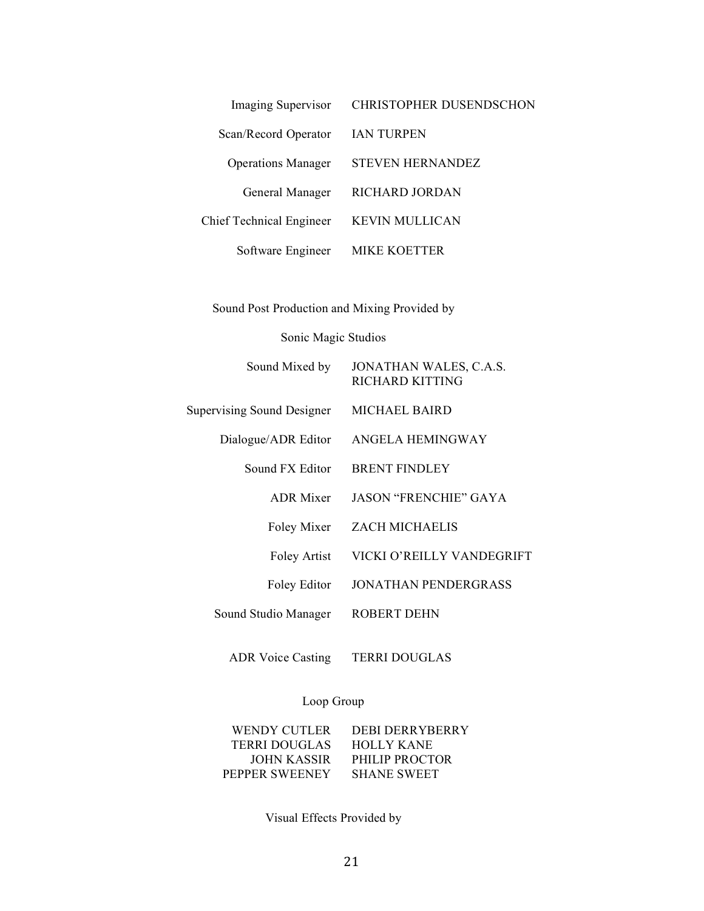| <b>Imaging Supervisor</b> | <b>CHRISTOPHER DUSENDSCHON</b> |
|---------------------------|--------------------------------|
| Scan/Record Operator      | <b>IAN TURPEN</b>              |
| <b>Operations Manager</b> | <b>STEVEN HERNANDEZ</b>        |
| General Manager           | RICHARD JORDAN                 |
| Chief Technical Engineer  | KEVIN MULLICAN                 |
| Software Engineer         | MIKE KOETTER                   |
|                           |                                |

Sound Post Production and Mixing Provided by

# Sonic Magic Studios

| Sound Mixed by                    | JONATHAN WALES, C.A.S.<br><b>RICHARD KITTING</b> |
|-----------------------------------|--------------------------------------------------|
| <b>Supervising Sound Designer</b> | MICHAEL BAIRD                                    |
| Dialogue/ADR Editor               | ANGELA HEMINGWAY                                 |
| Sound FX Editor                   | <b>BRENT FINDLEY</b>                             |
| <b>ADR</b> Mixer                  | <b>JASON "FRENCHIE" GAYA</b>                     |
| Foley Mixer                       | <b>ZACH MICHAELIS</b>                            |
| Foley Artist                      | VICKI O'REILLY VANDEGRIFT                        |
| Foley Editor                      | JONATHAN PENDERGRASS                             |
| Sound Studio Manager              | ROBERT DEHN                                      |
|                                   |                                                  |

ADR Voice Casting TERRI DOUGLAS

# Loop Group

| <b>DEBI DERRYBERRY</b> |
|------------------------|
| <b>HOLLY KANE</b>      |
| PHILIP PROCTOR         |
| <b>SHANE SWEET</b>     |
|                        |

Visual Effects Provided by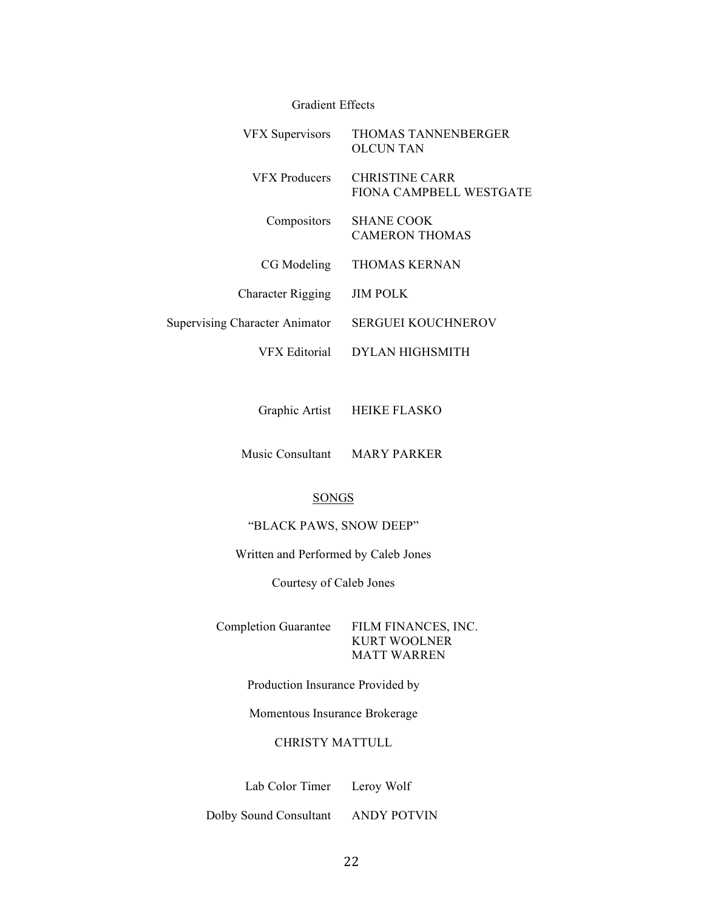| <b>Gradient Effects</b>               |                                                  |
|---------------------------------------|--------------------------------------------------|
| <b>VFX Supervisors</b>                | THOMAS TANNENBERGER<br><b>OLCUNTAN</b>           |
| <b>VFX</b> Producers                  | <b>CHRISTINE CARR</b><br>FIONA CAMPBELL WESTGATE |
| Compositors                           | <b>SHANE COOK</b><br><b>CAMERON THOMAS</b>       |
| CG Modeling                           | <b>THOMAS KERNAN</b>                             |
| <b>Character Rigging</b>              | <b>JIM POLK</b>                                  |
| <b>Supervising Character Animator</b> | <b>SERGUEI KOUCHNEROV</b>                        |
| VFX Editorial                         | <b>DYLAN HIGHSMITH</b>                           |

Graphic Artist HEIKE FLASKO

Music Consultant MARY PARKER

## SONGS

## "BLACK PAWS, SNOW DEEP"

Written and Performed by Caleb Jones

Courtesy of Caleb Jones

Completion Guarantee FILM FINANCES, INC.

KURT WOOLNER MATT WARREN

Production Insurance Provided by

Momentous Insurance Brokerage

# CHRISTY MATTULL

Lab Color Timer Leroy Wolf

Dolby Sound Consultant ANDY POTVIN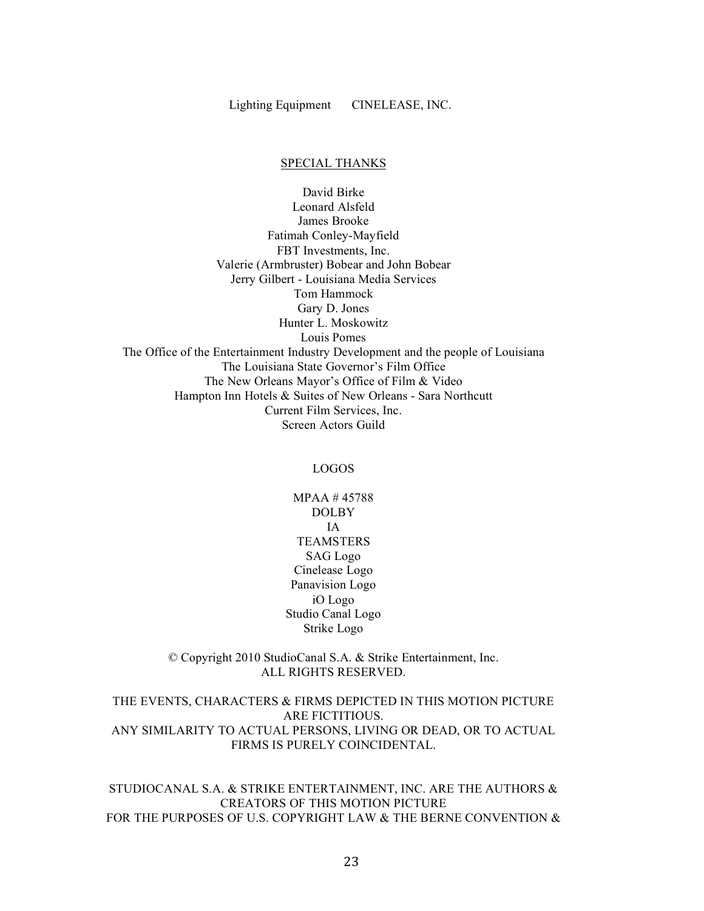Lighting Equipment CINELEASE, INC.

## SPECIAL THANKS

David Birke Leonard Alsfeld James Brooke Fatimah Conley-Mayfield FBT Investments, Inc. Valerie (Armbruster) Bobear and John Bobear Jerry Gilbert - Louisiana Media Services Tom Hammock Gary D. Jones Hunter L. Moskowitz Louis Pomes The Office of the Entertainment Industry Development and the people of Louisiana The Louisiana State Governor's Film Office The New Orleans Mayor's Office of Film & Video Hampton Inn Hotels & Suites of New Orleans - Sara Northcutt Current Film Services, Inc. Screen Actors Guild

## LOGOS

MPAA # 45788 DOLBY IA **TEAMSTERS** SAG Logo Cinelease Logo Panavision Logo iO Logo Studio Canal Logo Strike Logo

© Copyright 2010 StudioCanal S.A. & Strike Entertainment, Inc. ALL RIGHTS RESERVED.

THE EVENTS, CHARACTERS & FIRMS DEPICTED IN THIS MOTION PICTURE ARE FICTITIOUS. ANY SIMILARITY TO ACTUAL PERSONS, LIVING OR DEAD, OR TO ACTUAL FIRMS IS PURELY COINCIDENTAL.

STUDIOCANAL S.A. & STRIKE ENTERTAINMENT, INC. ARE THE AUTHORS & CREATORS OF THIS MOTION PICTURE FOR THE PURPOSES OF U.S. COPYRIGHT LAW & THE BERNE CONVENTION &